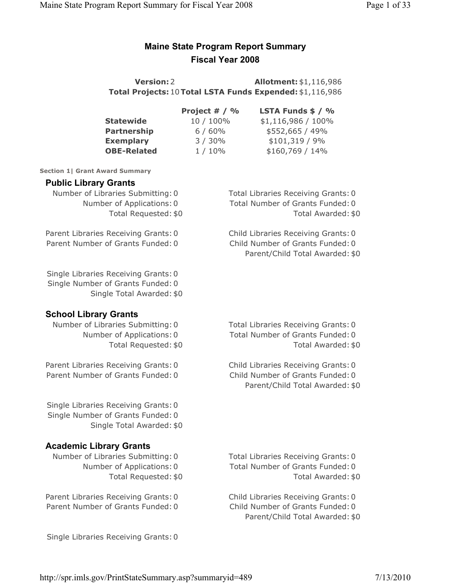# Maine State Program Report Summary Fiscal Year 2008

**Version: 2 Allotment: \$1,116,986** Total Projects: 10Total LSTA Funds Expended: \$1,116,986

|                    | Project $# / \%$ | <b>LSTA Funds <math>\$ / %</math></b> |
|--------------------|------------------|---------------------------------------|
| Statewide          | 10 / 100%        | \$1,116,986 / 100%                    |
| <b>Partnership</b> | 6/60%            | \$552,665 / 49%                       |
| <b>Exemplary</b>   | 3/30%            | $$101,319 / 9\%$                      |
| <b>OBE-Related</b> | $1/10\%$         | $$160,769 / 14\%$                     |
|                    |                  |                                       |

Section 1| Grant Award Summary

### Public Library Grants

Number of Libraries Submitting: 0 Total Libraries Receiving Grants: 0 Number of Applications: 0 Total Number of Grants Funded: 0 Total Requested: \$0 Total Awarded: \$0

Parent Libraries Receiving Grants: 0 Child Libraries Receiving Grants: 0 Parent Number of Grants Funded: 0 Child Number of Grants Funded: 0

Single Libraries Receiving Grants: 0 Single Number of Grants Funded: 0 Single Total Awarded: \$0

# School Library Grants

Parent Libraries Receiving Grants: 0 Child Libraries Receiving Grants: 0 Parent Number of Grants Funded: 0 Child Number of Grants Funded: 0

Single Libraries Receiving Grants: 0 Single Number of Grants Funded: 0 Single Total Awarded: \$0

# Academic Library Grants

Parent Libraries Receiving Grants: 0 Child Libraries Receiving Grants: 0 Parent Number of Grants Funded: 0 Child Number of Grants Funded: 0

Number of Libraries Submitting: 0 Total Libraries Receiving Grants: 0 Number of Applications: 0 Total Number of Grants Funded: 0 Total Requested: \$0 Total Awarded: \$0

Parent/Child Total Awarded: \$0

Parent/Child Total Awarded: \$0

Number of Libraries Submitting: 0 Total Libraries Receiving Grants: 0 Number of Applications: 0 Total Number of Grants Funded: 0 Total Requested: \$0 Total Awarded: \$0

Parent/Child Total Awarded: \$0

Single Libraries Receiving Grants: 0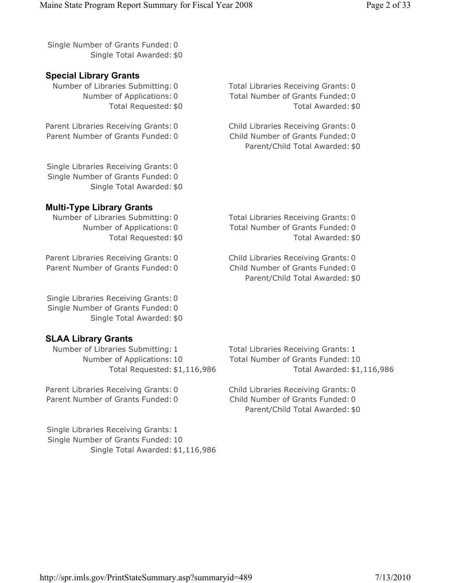Single Number of Grants Funded: 0 Single Total Awarded: \$0

# Special Library Grants

Number of Libraries Submitting: 0 Total Libraries Receiving Grants: 0

Parent Libraries Receiving Grants: 0 Child Libraries Receiving Grants: 0 Parent Number of Grants Funded: 0 Child Number of Grants Funded: 0

Single Libraries Receiving Grants: 0 Single Number of Grants Funded: 0 Single Total Awarded: \$0

# Multi-Type Library Grants

Number of Libraries Submitting: 0 Total Libraries Receiving Grants: 0

Parent Libraries Receiving Grants: 0 Child Libraries Receiving Grants: 0 Parent Number of Grants Funded: 0 Child Number of Grants Funded: 0

Single Libraries Receiving Grants: 0 Single Number of Grants Funded: 0 Single Total Awarded: \$0

# SLAA Library Grants

Number of Libraries Submitting: 1 Total Libraries Receiving Grants: 1 Number of Applications: 10 Total Number of Grants Funded: 10

Parent Libraries Receiving Grants: 0 Child Libraries Receiving Grants: 0 Parent Number of Grants Funded: 0 Child Number of Grants Funded: 0

Single Libraries Receiving Grants: 1 Single Number of Grants Funded: 10 Single Total Awarded: \$1,116,986

Number of Applications: 0 Total Number of Grants Funded: 0 Total Requested: \$0 Total Awarded: \$0

Parent/Child Total Awarded: \$0

Number of Applications: 0 Total Number of Grants Funded: 0 Total Requested: \$0 Total Awarded: \$0

Parent/Child Total Awarded: \$0

Total Requested: \$1,116,986 Total Awarded: \$1,116,986

Parent/Child Total Awarded: \$0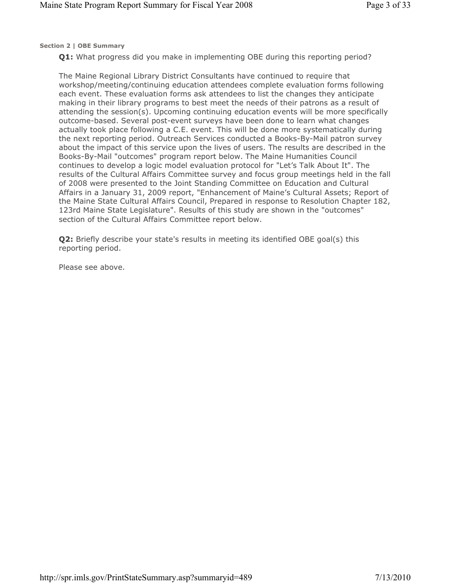Section 2 | OBE Summary

Q1: What progress did you make in implementing OBE during this reporting period?

The Maine Regional Library District Consultants have continued to require that workshop/meeting/continuing education attendees complete evaluation forms following each event. These evaluation forms ask attendees to list the changes they anticipate making in their library programs to best meet the needs of their patrons as a result of attending the session(s). Upcoming continuing education events will be more specifically outcome-based. Several post-event surveys have been done to learn what changes actually took place following a C.E. event. This will be done more systematically during the next reporting period. Outreach Services conducted a Books-By-Mail patron survey about the impact of this service upon the lives of users. The results are described in the Books-By-Mail "outcomes" program report below. The Maine Humanities Council continues to develop a logic model evaluation protocol for "Let's Talk About It". The results of the Cultural Affairs Committee survey and focus group meetings held in the fall of 2008 were presented to the Joint Standing Committee on Education and Cultural Affairs in a January 31, 2009 report, "Enhancement of Maine's Cultural Assets; Report of the Maine State Cultural Affairs Council, Prepared in response to Resolution Chapter 182, 123rd Maine State Legislature". Results of this study are shown in the "outcomes" section of the Cultural Affairs Committee report below.

Q2: Briefly describe your state's results in meeting its identified OBE goal(s) this reporting period.

Please see above.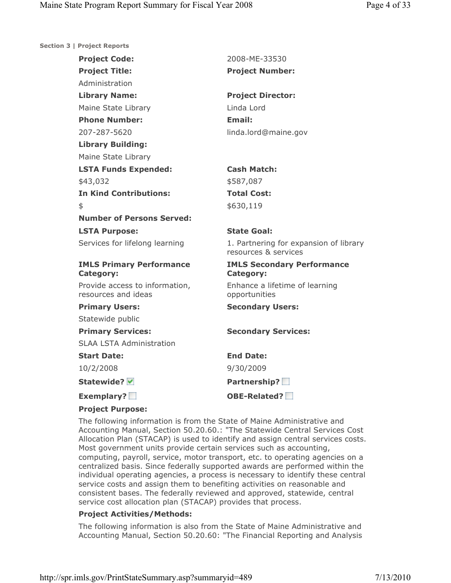|  |  | Section 3   Project Reports |
|--|--|-----------------------------|

| <b>Project Code:</b>                                  | 2008-ME-33530                                                  |
|-------------------------------------------------------|----------------------------------------------------------------|
| <b>Project Title:</b>                                 | <b>Project Number:</b>                                         |
| Administration                                        |                                                                |
| <b>Library Name:</b>                                  | <b>Project Director:</b>                                       |
| Maine State Library                                   | Linda Lord                                                     |
| <b>Phone Number:</b>                                  | <b>Email:</b>                                                  |
| 207-287-5620                                          | linda.lord@maine.gov                                           |
| <b>Library Building:</b>                              |                                                                |
| Maine State Library                                   |                                                                |
| <b>LSTA Funds Expended:</b>                           | <b>Cash Match:</b>                                             |
| \$43,032                                              | \$587,087                                                      |
| <b>In Kind Contributions:</b>                         | <b>Total Cost:</b>                                             |
| \$                                                    | \$630,119                                                      |
| <b>Number of Persons Served:</b>                      |                                                                |
| <b>LSTA Purpose:</b>                                  | <b>State Goal:</b>                                             |
| Services for lifelong learning                        | 1. Partnering for expansion of library<br>resources & services |
| <b>IMLS Primary Performance</b><br><b>Category:</b>   | <b>IMLS Secondary Performance</b><br><b>Category:</b>          |
| Provide access to information,<br>resources and ideas | Enhance a lifetime of learning<br>opportunities                |
| <b>Primary Users:</b>                                 | <b>Secondary Users:</b>                                        |
| Statewide public                                      |                                                                |
| <b>Primary Services:</b>                              | <b>Secondary Services:</b>                                     |
| <b>SLAA LSTA Administration</b>                       |                                                                |
| <b>Start Date:</b>                                    | <b>End Date:</b>                                               |
| 10/2/2008                                             | 9/30/2009                                                      |
| Statewide? V                                          | Partnership?                                                   |
| <b>Exemplary?</b>                                     | <b>OBE-Related?</b>                                            |
| <b>Project Purpose:</b>                               |                                                                |

### Project Purpose:

The following information is from the State of Maine Administrative and Accounting Manual, Section 50.20.60.: "The Statewide Central Services Cost Allocation Plan (STACAP) is used to identify and assign central services costs. Most government units provide certain services such as accounting, computing, payroll, service, motor transport, etc. to operating agencies on a centralized basis. Since federally supported awards are performed within the individual operating agencies, a process is necessary to identify these central service costs and assign them to benefiting activities on reasonable and consistent bases. The federally reviewed and approved, statewide, central service cost allocation plan (STACAP) provides that process.

### Project Activities/Methods:

The following information is also from the State of Maine Administrative and Accounting Manual, Section 50.20.60: "The Financial Reporting and Analysis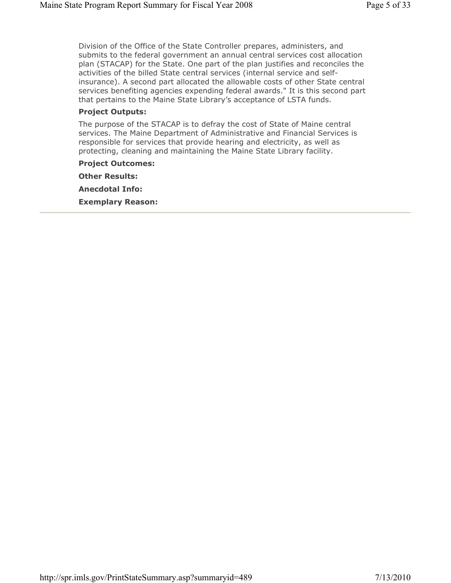Division of the Office of the State Controller prepares, administers, and submits to the federal government an annual central services cost allocation plan (STACAP) for the State. One part of the plan justifies and reconciles the activities of the billed State central services (internal service and selfinsurance). A second part allocated the allowable costs of other State central services benefiting agencies expending federal awards." It is this second part that pertains to the Maine State Library's acceptance of LSTA funds.

### Project Outputs:

The purpose of the STACAP is to defray the cost of State of Maine central services. The Maine Department of Administrative and Financial Services is responsible for services that provide hearing and electricity, as well as protecting, cleaning and maintaining the Maine State Library facility.

## Project Outcomes:

Other Results: Anecdotal Info: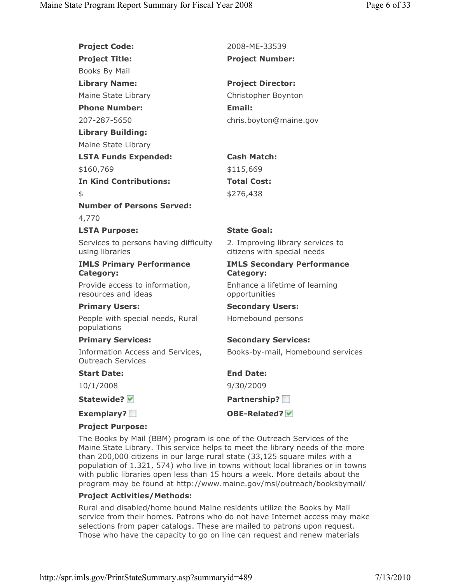| <b>Project Code:</b>                                         | 2008-ME-33539                                                   |
|--------------------------------------------------------------|-----------------------------------------------------------------|
| <b>Project Title:</b>                                        | <b>Project Number:</b>                                          |
| Books By Mail                                                |                                                                 |
| <b>Library Name:</b>                                         | <b>Project Director:</b>                                        |
| Maine State Library                                          | Christopher Boynton                                             |
| <b>Phone Number:</b>                                         | <b>Email:</b>                                                   |
| 207-287-5650                                                 | chris.boyton@maine.gov                                          |
| <b>Library Building:</b>                                     |                                                                 |
| Maine State Library                                          |                                                                 |
| <b>LSTA Funds Expended:</b>                                  | <b>Cash Match:</b>                                              |
| \$160,769                                                    | \$115,669                                                       |
| <b>In Kind Contributions:</b>                                | <b>Total Cost:</b>                                              |
| \$                                                           | \$276,438                                                       |
| <b>Number of Persons Served:</b>                             |                                                                 |
| 4,770                                                        |                                                                 |
| <b>LSTA Purpose:</b>                                         | <b>State Goal:</b>                                              |
| Services to persons having difficulty<br>using libraries     | 2. Improving library services to<br>citizens with special needs |
| <b>IMLS Primary Performance</b><br><b>Category:</b>          | <b>IMLS Secondary Performance</b><br><b>Category:</b>           |
| Provide access to information,<br>resources and ideas        | Enhance a lifetime of learning<br>opportunities                 |
| <b>Primary Users:</b>                                        | <b>Secondary Users:</b>                                         |
| People with special needs, Rural<br>populations              | Homebound persons                                               |
| <b>Primary Services:</b>                                     | <b>Secondary Services:</b>                                      |
| Information Access and Services,<br><b>Outreach Services</b> | Books-by-mail, Homebound services                               |
| <b>Start Date:</b>                                           | <b>End Date:</b>                                                |
| 10/1/2008                                                    | 9/30/2009                                                       |
| Statewide?                                                   | Partnership?                                                    |
| Exemplary?                                                   | OBE-Related? V                                                  |
| <b>Project Purpose:</b>                                      |                                                                 |

The Books by Mail (BBM) program is one of the Outreach Services of the Maine State Library. This service helps to meet the library needs of the more than 200,000 citizens in our large rural state (33,125 square miles with a population of 1.321, 574) who live in towns without local libraries or in towns with public libraries open less than 15 hours a week. More details about the program may be found at http://www.maine.gov/msl/outreach/booksbymail/

### Project Activities/Methods:

Rural and disabled/home bound Maine residents utilize the Books by Mail service from their homes. Patrons who do not have Internet access may make selections from paper catalogs. These are mailed to patrons upon request. Those who have the capacity to go on line can request and renew materials

http://spr.imls.gov/PrintStateSummary.asp?summaryid=489 7/13/2010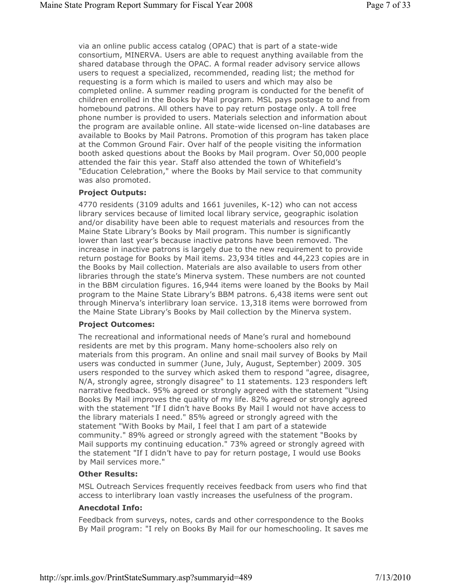via an online public access catalog (OPAC) that is part of a state-wide consortium, MINERVA. Users are able to request anything available from the shared database through the OPAC. A formal reader advisory service allows users to request a specialized, recommended, reading list; the method for requesting is a form which is mailed to users and which may also be completed online. A summer reading program is conducted for the benefit of children enrolled in the Books by Mail program. MSL pays postage to and from homebound patrons. All others have to pay return postage only. A toll free phone number is provided to users. Materials selection and information about the program are available online. All state-wide licensed on-line databases are available to Books by Mail Patrons. Promotion of this program has taken place at the Common Ground Fair. Over half of the people visiting the information booth asked questions about the Books by Mail program. Over 50,000 people attended the fair this year. Staff also attended the town of Whitefield's "Education Celebration," where the Books by Mail service to that community was also promoted.

#### Project Outputs:

4770 residents (3109 adults and 1661 juveniles, K-12) who can not access library services because of limited local library service, geographic isolation and/or disability have been able to request materials and resources from the Maine State Library's Books by Mail program. This number is significantly lower than last year's because inactive patrons have been removed. The increase in inactive patrons is largely due to the new requirement to provide return postage for Books by Mail items. 23,934 titles and 44,223 copies are in the Books by Mail collection. Materials are also available to users from other libraries through the state's Minerva system. These numbers are not counted in the BBM circulation figures. 16,944 items were loaned by the Books by Mail program to the Maine State Library's BBM patrons. 6,438 items were sent out through Minerva's interlibrary loan service. 13,318 items were borrowed from the Maine State Library's Books by Mail collection by the Minerva system.

#### Project Outcomes:

The recreational and informational needs of Mane's rural and homebound residents are met by this program. Many home-schoolers also rely on materials from this program. An online and snail mail survey of Books by Mail users was conducted in summer (June, July, August, September) 2009. 305 users responded to the survey which asked them to respond "agree, disagree, N/A, strongly agree, strongly disagree" to 11 statements. 123 responders left narrative feedback. 95% agreed or strongly agreed with the statement "Using Books By Mail improves the quality of my life. 82% agreed or strongly agreed with the statement "If I didn't have Books By Mail I would not have access to the library materials I need." 85% agreed or strongly agreed with the statement "With Books by Mail, I feel that I am part of a statewide community." 89% agreed or strongly agreed with the statement "Books by Mail supports my continuing education." 73% agreed or strongly agreed with the statement "If I didn't have to pay for return postage, I would use Books by Mail services more."

#### Other Results:

MSL Outreach Services frequently receives feedback from users who find that access to interlibrary loan vastly increases the usefulness of the program.

### Anecdotal Info:

Feedback from surveys, notes, cards and other correspondence to the Books By Mail program: "I rely on Books By Mail for our homeschooling. It saves me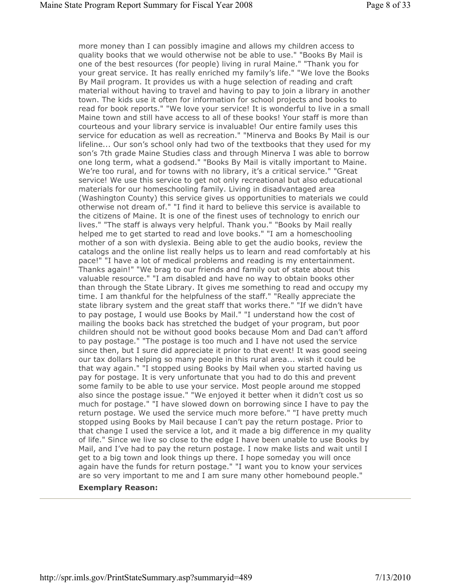more money than I can possibly imagine and allows my children access to quality books that we would otherwise not be able to use." "Books By Mail is one of the best resources (for people) living in rural Maine." "Thank you for your great service. It has really enriched my family's life." "We love the Books By Mail program. It provides us with a huge selection of reading and craft material without having to travel and having to pay to join a library in another town. The kids use it often for information for school projects and books to read for book reports." "We love your service! It is wonderful to live in a small Maine town and still have access to all of these books! Your staff is more than courteous and your library service is invaluable! Our entire family uses this service for education as well as recreation." "Minerva and Books By Mail is our lifeline... Our son's school only had two of the textbooks that they used for my son's 7th grade Maine Studies class and through Minerva I was able to borrow one long term, what a godsend." "Books By Mail is vitally important to Maine. We're too rural, and for towns with no library, it's a critical service." "Great service! We use this service to get not only recreational but also educational materials for our homeschooling family. Living in disadvantaged area (Washington County) this service gives us opportunities to materials we could otherwise not dream of." "I find it hard to believe this service is available to the citizens of Maine. It is one of the finest uses of technology to enrich our lives." "The staff is always very helpful. Thank you." "Books by Mail really helped me to get started to read and love books." "I am a homeschooling mother of a son with dyslexia. Being able to get the audio books, review the catalogs and the online list really helps us to learn and read comfortably at his pace!" "I have a lot of medical problems and reading is my entertainment. Thanks again!" "We brag to our friends and family out of state about this valuable resource." "I am disabled and have no way to obtain books other than through the State Library. It gives me something to read and occupy my time. I am thankful for the helpfulness of the staff." "Really appreciate the state library system and the great staff that works there." "If we didn't have to pay postage, I would use Books by Mail." "I understand how the cost of mailing the books back has stretched the budget of your program, but poor children should not be without good books because Mom and Dad can't afford to pay postage." "The postage is too much and I have not used the service since then, but I sure did appreciate it prior to that event! It was good seeing our tax dollars helping so many people in this rural area... wish it could be that way again." "I stopped using Books by Mail when you started having us pay for postage. It is very unfortunate that you had to do this and prevent some family to be able to use your service. Most people around me stopped also since the postage issue." "We enjoyed it better when it didn't cost us so much for postage." "I have slowed down on borrowing since I have to pay the return postage. We used the service much more before." "I have pretty much stopped using Books by Mail because I can't pay the return postage. Prior to that change I used the service a lot, and it made a big difference in my quality of life." Since we live so close to the edge I have been unable to use Books by Mail, and I've had to pay the return postage. I now make lists and wait until I get to a big town and look things up there. I hope someday you will once again have the funds for return postage." "I want you to know your services are so very important to me and I am sure many other homebound people."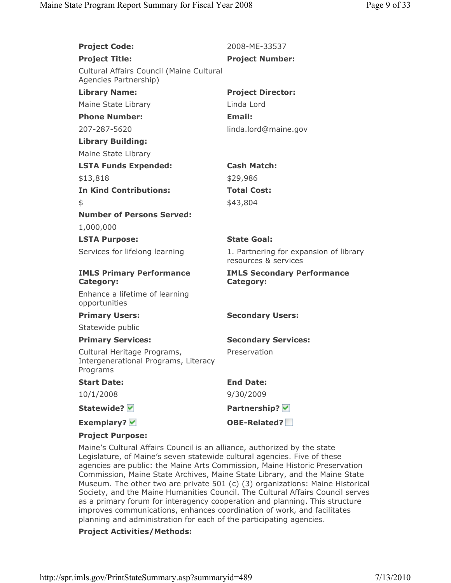| <b>Project Code:</b>                                                            | 2008-ME-33537                                                  |
|---------------------------------------------------------------------------------|----------------------------------------------------------------|
| <b>Project Title:</b>                                                           | <b>Project Number:</b>                                         |
| Cultural Affairs Council (Maine Cultural<br>Agencies Partnership)               |                                                                |
| <b>Library Name:</b>                                                            | <b>Project Director:</b>                                       |
| Maine State Library                                                             | Linda Lord                                                     |
| <b>Phone Number:</b>                                                            | <b>Email:</b>                                                  |
| 207-287-5620                                                                    | linda.lord@maine.gov                                           |
| <b>Library Building:</b>                                                        |                                                                |
| Maine State Library                                                             |                                                                |
| <b>LSTA Funds Expended:</b>                                                     | <b>Cash Match:</b>                                             |
| \$13,818                                                                        | \$29,986                                                       |
| <b>In Kind Contributions:</b>                                                   | <b>Total Cost:</b>                                             |
| \$                                                                              | \$43,804                                                       |
| <b>Number of Persons Served:</b>                                                |                                                                |
| 1,000,000                                                                       |                                                                |
| <b>LSTA Purpose:</b>                                                            | <b>State Goal:</b>                                             |
| Services for lifelong learning                                                  | 1. Partnering for expansion of library<br>resources & services |
| <b>IMLS Primary Performance</b><br><b>Category:</b>                             | <b>IMLS Secondary Performance</b><br><b>Category:</b>          |
| Enhance a lifetime of learning<br>opportunities                                 |                                                                |
| <b>Primary Users:</b>                                                           | <b>Secondary Users:</b>                                        |
| Statewide public                                                                |                                                                |
| <b>Primary Services:</b>                                                        | <b>Secondary Services:</b>                                     |
| Cultural Heritage Programs,<br>Intergenerational Programs, Literacy<br>Programs | Preservation                                                   |
| <b>Start Date:</b>                                                              | <b>End Date:</b>                                               |
| 10/1/2008                                                                       | 9/30/2009                                                      |
| Statewide?                                                                      | Partnership? V                                                 |
| Exemplary? $\blacktriangledown$                                                 | <b>OBE-Related?</b>                                            |
| <b>Project Purpose:</b>                                                         |                                                                |

Maine's Cultural Affairs Council is an alliance, authorized by the state Legislature, of Maine's seven statewide cultural agencies. Five of these agencies are public: the Maine Arts Commission, Maine Historic Preservation Commission, Maine State Archives, Maine State Library, and the Maine State Museum. The other two are private 501 (c) (3) organizations: Maine Historical Society, and the Maine Humanities Council. The Cultural Affairs Council serves as a primary forum for interagency cooperation and planning. This structure improves communications, enhances coordination of work, and facilitates planning and administration for each of the participating agencies.

#### Project Activities/Methods: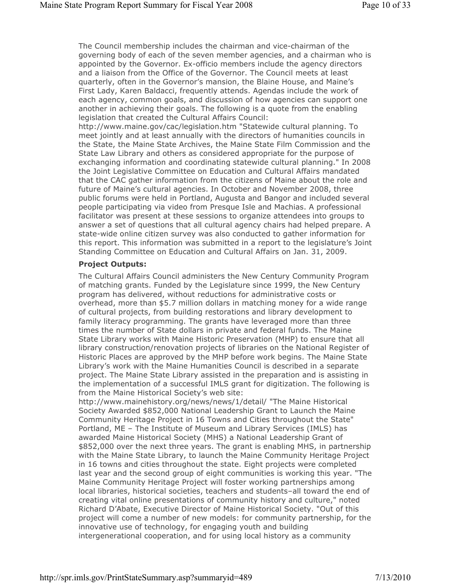The Council membership includes the chairman and vice-chairman of the governing body of each of the seven member agencies, and a chairman who is appointed by the Governor. Ex-officio members include the agency directors and a liaison from the Office of the Governor. The Council meets at least quarterly, often in the Governor's mansion, the Blaine House, and Maine's First Lady, Karen Baldacci, frequently attends. Agendas include the work of each agency, common goals, and discussion of how agencies can support one another in achieving their goals. The following is a quote from the enabling legislation that created the Cultural Affairs Council:

http://www.maine.gov/cac/legislation.htm "Statewide cultural planning. To meet jointly and at least annually with the directors of humanities councils in the State, the Maine State Archives, the Maine State Film Commission and the State Law Library and others as considered appropriate for the purpose of exchanging information and coordinating statewide cultural planning." In 2008 the Joint Legislative Committee on Education and Cultural Affairs mandated that the CAC gather information from the citizens of Maine about the role and future of Maine's cultural agencies. In October and November 2008, three public forums were held in Portland, Augusta and Bangor and included several people participating via video from Presque Isle and Machias. A professional facilitator was present at these sessions to organize attendees into groups to answer a set of questions that all cultural agency chairs had helped prepare. A state-wide online citizen survey was also conducted to gather information for this report. This information was submitted in a report to the legislature's Joint Standing Committee on Education and Cultural Affairs on Jan. 31, 2009.

#### Project Outputs:

The Cultural Affairs Council administers the New Century Community Program of matching grants. Funded by the Legislature since 1999, the New Century program has delivered, without reductions for administrative costs or overhead, more than \$5.7 million dollars in matching money for a wide range of cultural projects, from building restorations and library development to family literacy programming. The grants have leveraged more than three times the number of State dollars in private and federal funds. The Maine State Library works with Maine Historic Preservation (MHP) to ensure that all library construction/renovation projects of libraries on the National Register of Historic Places are approved by the MHP before work begins. The Maine State Library's work with the Maine Humanities Council is described in a separate project. The Maine State Library assisted in the preparation and is assisting in the implementation of a successful IMLS grant for digitization. The following is from the Maine Historical Society's web site:

http://www.mainehistory.org/news/news/1/detail/ "The Maine Historical Society Awarded \$852,000 National Leadership Grant to Launch the Maine Community Heritage Project in 16 Towns and Cities throughout the State" Portland, ME – The Institute of Museum and Library Services (IMLS) has awarded Maine Historical Society (MHS) a National Leadership Grant of \$852,000 over the next three years. The grant is enabling MHS, in partnership with the Maine State Library, to launch the Maine Community Heritage Project in 16 towns and cities throughout the state. Eight projects were completed last year and the second group of eight communities is working this year. "The Maine Community Heritage Project will foster working partnerships among local libraries, historical societies, teachers and students–all toward the end of creating vital online presentations of community history and culture," noted Richard D'Abate, Executive Director of Maine Historical Society. "Out of this project will come a number of new models: for community partnership, for the innovative use of technology, for engaging youth and building intergenerational cooperation, and for using local history as a community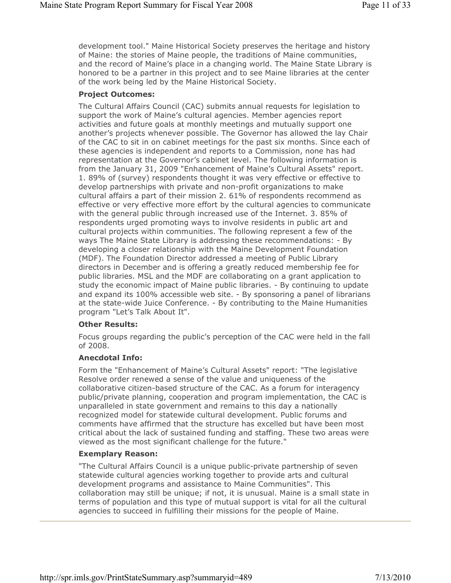development tool." Maine Historical Society preserves the heritage and history of Maine: the stories of Maine people, the traditions of Maine communities, and the record of Maine's place in a changing world. The Maine State Library is honored to be a partner in this project and to see Maine libraries at the center of the work being led by the Maine Historical Society.

#### Project Outcomes:

The Cultural Affairs Council (CAC) submits annual requests for legislation to support the work of Maine's cultural agencies. Member agencies report activities and future goals at monthly meetings and mutually support one another's projects whenever possible. The Governor has allowed the lay Chair of the CAC to sit in on cabinet meetings for the past six months. Since each of these agencies is independent and reports to a Commission, none has had representation at the Governor's cabinet level. The following information is from the January 31, 2009 "Enhancement of Maine's Cultural Assets" report. 1. 89% of (survey) respondents thought it was very effective or effective to develop partnerships with private and non-profit organizations to make cultural affairs a part of their mission 2. 61% of respondents recommend as effective or very effective more effort by the cultural agencies to communicate with the general public through increased use of the Internet. 3. 85% of respondents urged promoting ways to involve residents in public art and cultural projects within communities. The following represent a few of the ways The Maine State Library is addressing these recommendations: - By developing a closer relationship with the Maine Development Foundation (MDF). The Foundation Director addressed a meeting of Public Library directors in December and is offering a greatly reduced membership fee for public libraries. MSL and the MDF are collaborating on a grant application to study the economic impact of Maine public libraries. - By continuing to update and expand its 100% accessible web site. - By sponsoring a panel of librarians at the state-wide Juice Conference. - By contributing to the Maine Humanities program "Let's Talk About It".

#### Other Results:

Focus groups regarding the public's perception of the CAC were held in the fall of 2008.

#### Anecdotal Info:

Form the "Enhancement of Maine's Cultural Assets" report: "The legislative Resolve order renewed a sense of the value and uniqueness of the collaborative citizen-based structure of the CAC. As a forum for interagency public/private planning, cooperation and program implementation, the CAC is unparalleled in state government and remains to this day a nationally recognized model for statewide cultural development. Public forums and comments have affirmed that the structure has excelled but have been most critical about the lack of sustained funding and staffing. These two areas were viewed as the most significant challenge for the future."

### Exemplary Reason:

"The Cultural Affairs Council is a unique public-private partnership of seven statewide cultural agencies working together to provide arts and cultural development programs and assistance to Maine Communities". This collaboration may still be unique; if not, it is unusual. Maine is a small state in terms of population and this type of mutual support is vital for all the cultural agencies to succeed in fulfilling their missions for the people of Maine.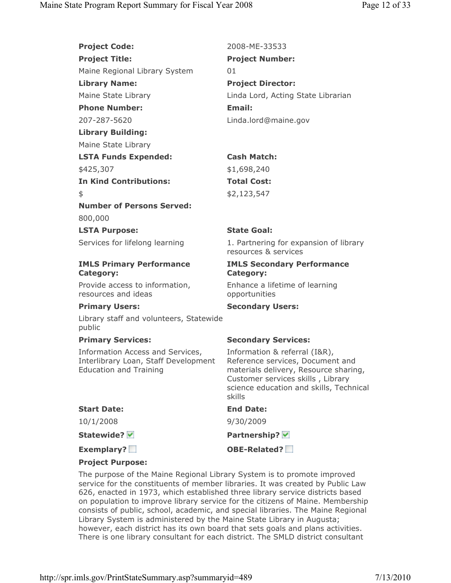**Project Code:** 2008-ME-33533 Project Title: Project Number: Maine Regional Library System 01 Library Name: Project Director: Maine State Library **Linda Lord, Acting State Librarian** Phone Number: The Email: 207-287-5620 Linda.lord@maine.gov Library Building: Maine State Library LSTA Funds Expended: Cash Match: \$425,307 \$1,698,240 In Kind Contributions: Total Cost:  $$2,123,547$ Number of Persons Served: 800,000

LSTA Purpose: State Goal:

## IMLS Primary Performance Category:

Provide access to information, resources and ideas

Library staff and volunteers, Statewide public

Information Access and Services, Interlibrary Loan, Staff Development Education and Training

Services for lifelong learning 1. Partnering for expansion of library resources & services

# IMLS Secondary Performance Category:

Enhance a lifetime of learning opportunities

# Primary Users: Secondary Users:

# Primary Services: Secondary Services:

Information & referral (I&R), Reference services, Document and materials delivery, Resource sharing, Customer services skills , Library science education and skills, Technical skills

| <b>Start Date:</b>      | <b>End Date:</b> |
|-------------------------|------------------|
| 10/1/2008               | 9/30/2009        |
| Statewide? <del>∨</del> | Partnership? V   |
|                         |                  |

# Project Purpose:

The purpose of the Maine Regional Library System is to promote improved service for the constituents of member libraries. It was created by Public Law 626, enacted in 1973, which established three library service districts based on population to improve library service for the citizens of Maine. Membership consists of public, school, academic, and special libraries. The Maine Regional Library System is administered by the Maine State Library in Augusta; however, each district has its own board that sets goals and plans activities. There is one library consultant for each district. The SMLD district consultant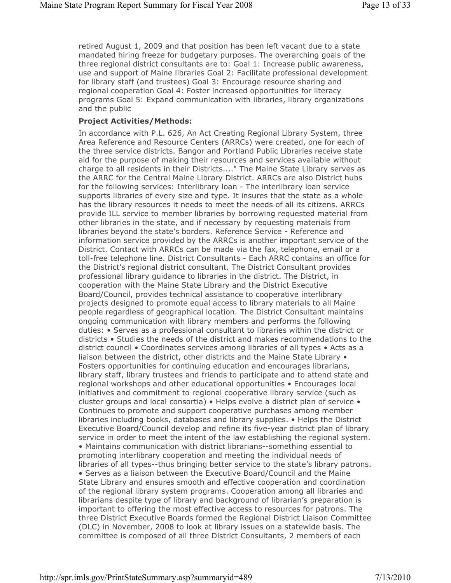retired August 1, 2009 and that position has been left vacant due to a state mandated hiring freeze for budgetary purposes. The overarching goals of the three regional district consultants are to: Goal 1: Increase public awareness, use and support of Maine libraries Goal 2: Facilitate professional development for library staff (and trustees) Goal 3: Encourage resource sharing and regional cooperation Goal 4: Foster increased opportunities for literacy programs Goal 5: Expand communication with libraries, library organizations and the public

### Project Activities/Methods:

In accordance with P.L. 626, An Act Creating Regional Library System, three Area Reference and Resource Centers (ARRCs) were created, one for each of the three service districts. Bangor and Portland Public Libraries receive state aid for the purpose of making their resources and services available without charge to all residents in their Districts...." The Maine State Library serves as the ARRC for the Central Maine Library District. ARRCs are also District hubs for the following services: Interlibrary loan - The interlibrary loan service supports libraries of every size and type. It insures that the state as a whole has the library resources it needs to meet the needs of all its citizens. ARRCs provide ILL service to member libraries by borrowing requested material from other libraries in the state, and if necessary by requesting materials from libraries beyond the state's borders. Reference Service - Reference and information service provided by the ARRCs is another important service of the District. Contact with ARRCs can be made via the fax, telephone, email or a toll-free telephone line. District Consultants - Each ARRC contains an office for the District's regional district consultant. The District Consultant provides professional library guidance to libraries in the district. The District, in cooperation with the Maine State Library and the District Executive Board/Council, provides technical assistance to cooperative interlibrary projects designed to promote equal access to library materials to all Maine people regardless of geographical location. The District Consultant maintains ongoing communication with library members and performs the following duties: • Serves as a professional consultant to libraries within the district or districts • Studies the needs of the district and makes recommendations to the district council • Coordinates services among libraries of all types • Acts as a liaison between the district, other districts and the Maine State Library • Fosters opportunities for continuing education and encourages librarians, library staff, library trustees and friends to participate and to attend state and regional workshops and other educational opportunities • Encourages local initiatives and commitment to regional cooperative library service (such as cluster groups and local consortia) • Helps evolve a district plan of service • Continues to promote and support cooperative purchases among member libraries including books, databases and library supplies. • Helps the District Executive Board/Council develop and refine its five-year district plan of library service in order to meet the intent of the law establishing the regional system. • Maintains communication with district librarians--something essential to promoting interlibrary cooperation and meeting the individual needs of libraries of all types--thus bringing better service to the state's library patrons. • Serves as a liaison between the Executive Board/Council and the Maine State Library and ensures smooth and effective cooperation and coordination of the regional library system programs. Cooperation among all libraries and librarians despite type of library and background of librarian's preparation is important to offering the most effective access to resources for patrons. The three District Executive Boards formed the Regional District Liaison Committee (DLC) in November, 2008 to look at library issues on a statewide basis. The committee is composed of all three District Consultants, 2 members of each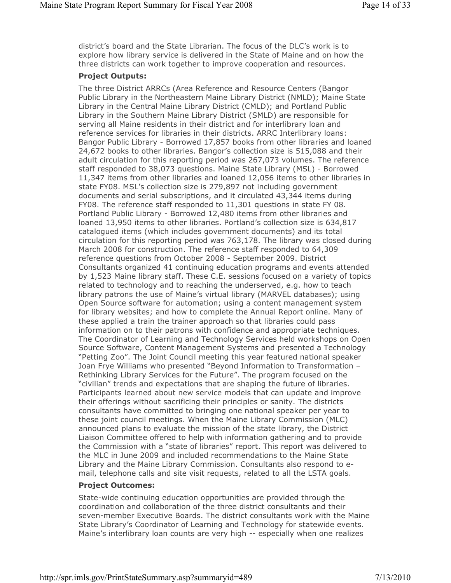district's board and the State Librarian. The focus of the DLC's work is to explore how library service is delivered in the State of Maine and on how the three districts can work together to improve cooperation and resources.

### Project Outputs:

The three District ARRCs (Area Reference and Resource Centers (Bangor Public Library in the Northeastern Maine Library District (NMLD); Maine State Library in the Central Maine Library District (CMLD); and Portland Public Library in the Southern Maine Library District (SMLD) are responsible for serving all Maine residents in their district and for interlibrary loan and reference services for libraries in their districts. ARRC Interlibrary loans: Bangor Public Library - Borrowed 17,857 books from other libraries and loaned 24,672 books to other libraries. Bangor's collection size is 515,088 and their adult circulation for this reporting period was 267,073 volumes. The reference staff responded to 38,073 questions. Maine State Library (MSL) - Borrowed 11,347 items from other libraries and loaned 12,056 items to other libraries in state FY08. MSL's collection size is 279,897 not including government documents and serial subscriptions, and it circulated 43,344 items during FY08. The reference staff responded to 11,301 questions in state FY 08. Portland Public Library - Borrowed 12,480 items from other libraries and loaned 13,950 items to other libraries. Portland's collection size is 634,817 catalogued items (which includes government documents) and its total circulation for this reporting period was 763,178. The library was closed during March 2008 for construction. The reference staff responded to 64,309 reference questions from October 2008 - September 2009. District Consultants organized 41 continuing education programs and events attended by 1,523 Maine library staff. These C.E. sessions focused on a variety of topics related to technology and to reaching the underserved, e.g. how to teach library patrons the use of Maine's virtual library (MARVEL databases); using Open Source software for automation; using a content management system for library websites; and how to complete the Annual Report online. Many of these applied a train the trainer approach so that libraries could pass information on to their patrons with confidence and appropriate techniques. The Coordinator of Learning and Technology Services held workshops on Open Source Software, Content Management Systems and presented a Technology "Petting Zoo". The Joint Council meeting this year featured national speaker Joan Frye Williams who presented "Beyond Information to Transformation -Rethinking Library Services for the Future". The program focused on the "civilian" trends and expectations that are shaping the future of libraries. Participants learned about new service models that can update and improve their offerings without sacrificing their principles or sanity. The districts consultants have committed to bringing one national speaker per year to these joint council meetings. When the Maine Library Commission (MLC) announced plans to evaluate the mission of the state library, the District Liaison Committee offered to help with information gathering and to provide the Commission with a "state of libraries" report. This report was delivered to the MLC in June 2009 and included recommendations to the Maine State Library and the Maine Library Commission. Consultants also respond to email, telephone calls and site visit requests, related to all the LSTA goals.

## Project Outcomes:

State-wide continuing education opportunities are provided through the coordination and collaboration of the three district consultants and their seven-member Executive Boards. The district consultants work with the Maine State Library's Coordinator of Learning and Technology for statewide events. Maine's interlibrary loan counts are very high -- especially when one realizes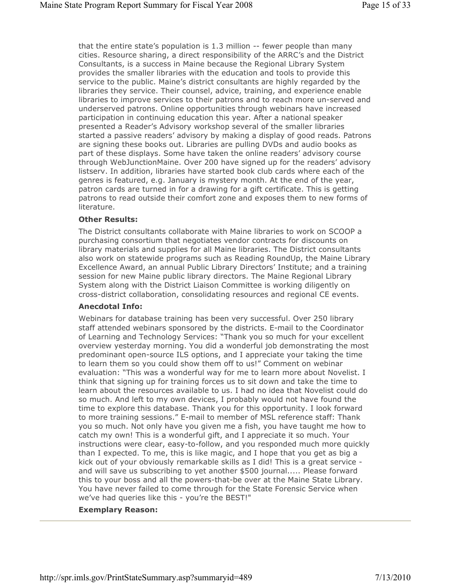that the entire state's population is 1.3 million -- fewer people than many cities. Resource sharing, a direct responsibility of the ARRC's and the District Consultants, is a success in Maine because the Regional Library System provides the smaller libraries with the education and tools to provide this service to the public. Maine's district consultants are highly regarded by the libraries they service. Their counsel, advice, training, and experience enable libraries to improve services to their patrons and to reach more un-served and underserved patrons. Online opportunities through webinars have increased participation in continuing education this year. After a national speaker presented a Reader's Advisory workshop several of the smaller libraries started a passive readers' advisory by making a display of good reads. Patrons are signing these books out. Libraries are pulling DVDs and audio books as part of these displays. Some have taken the online readers' advisory course through WebJunctionMaine. Over 200 have signed up for the readers' advisory listserv. In addition, libraries have started book club cards where each of the genres is featured, e.g. January is mystery month. At the end of the year, patron cards are turned in for a drawing for a gift certificate. This is getting patrons to read outside their comfort zone and exposes them to new forms of literature.

#### Other Results:

The District consultants collaborate with Maine libraries to work on SCOOP a purchasing consortium that negotiates vendor contracts for discounts on library materials and supplies for all Maine libraries. The District consultants also work on statewide programs such as Reading RoundUp, the Maine Library Excellence Award, an annual Public Library Directors' Institute; and a training session for new Maine public library directors. The Maine Regional Library System along with the District Liaison Committee is working diligently on cross-district collaboration, consolidating resources and regional CE events.

### Anecdotal Info:

Webinars for database training has been very successful. Over 250 library staff attended webinars sponsored by the districts. E-mail to the Coordinator of Learning and Technology Services: "Thank you so much for your excellent overview yesterday morning. You did a wonderful job demonstrating the most predominant open-source ILS options, and I appreciate your taking the time to learn them so you could show them off to us!" Comment on webinar evaluation: "This was a wonderful way for me to learn more about Novelist. I think that signing up for training forces us to sit down and take the time to learn about the resources available to us. I had no idea that Novelist could do so much. And left to my own devices, I probably would not have found the time to explore this database. Thank you for this opportunity. I look forward to more training sessions." E-mail to member of MSL reference staff: Thank you so much. Not only have you given me a fish, you have taught me how to catch my own! This is a wonderful gift, and I appreciate it so much. Your instructions were clear, easy-to-follow, and you responded much more quickly than I expected. To me, this is like magic, and I hope that you get as big a kick out of your obviously remarkable skills as I did! This is a great service and will save us subscribing to yet another \$500 journal..... Please forward this to your boss and all the powers-that-be over at the Maine State Library. You have never failed to come through for the State Forensic Service when we've had queries like this - you're the BEST!"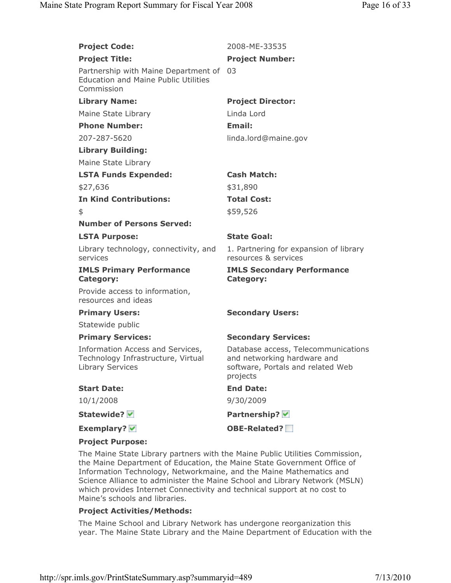| <b>Project Code:</b>                                                                              | 2008-ME-33535                                                                                                       |
|---------------------------------------------------------------------------------------------------|---------------------------------------------------------------------------------------------------------------------|
| <b>Project Title:</b>                                                                             | <b>Project Number:</b>                                                                                              |
| Partnership with Maine Department of<br><b>Education and Maine Public Utilities</b><br>Commission | 03                                                                                                                  |
| <b>Library Name:</b>                                                                              | <b>Project Director:</b>                                                                                            |
| Maine State Library                                                                               | Linda Lord                                                                                                          |
| <b>Phone Number:</b>                                                                              | <b>Email:</b>                                                                                                       |
| 207-287-5620                                                                                      | linda.lord@maine.gov                                                                                                |
| <b>Library Building:</b>                                                                          |                                                                                                                     |
| Maine State Library                                                                               |                                                                                                                     |
| <b>LSTA Funds Expended:</b>                                                                       | <b>Cash Match:</b>                                                                                                  |
| \$27,636                                                                                          | \$31,890                                                                                                            |
| <b>In Kind Contributions:</b>                                                                     | <b>Total Cost:</b>                                                                                                  |
| \$                                                                                                | \$59,526                                                                                                            |
| <b>Number of Persons Served:</b>                                                                  |                                                                                                                     |
| <b>LSTA Purpose:</b>                                                                              | <b>State Goal:</b>                                                                                                  |
| Library technology, connectivity, and<br>services                                                 | 1. Partnering for expansion of library<br>resources & services                                                      |
| <b>IMLS Primary Performance</b><br><b>Category:</b>                                               | <b>IMLS Secondary Performance</b><br>Category:                                                                      |
| Provide access to information,<br>resources and ideas                                             |                                                                                                                     |
| <b>Primary Users:</b>                                                                             | <b>Secondary Users:</b>                                                                                             |
| Statewide public                                                                                  |                                                                                                                     |
| <b>Primary Services:</b>                                                                          | <b>Secondary Services:</b>                                                                                          |
| Information Access and Services,<br>Technology Infrastructure, Virtual<br><b>Library Services</b> | Database access, Telecommunications<br>and networking hardware and<br>software, Portals and related Web<br>projects |
| <b>Start Date:</b>                                                                                | <b>End Date:</b>                                                                                                    |
| 10/1/2008                                                                                         | 9/30/2009                                                                                                           |
| Statewide? <del>v</del>                                                                           | Partnership? V                                                                                                      |
| <b>Exemplary?</b> ₩                                                                               | <b>OBE-Related?</b>                                                                                                 |
| <b>Project Purpose:</b>                                                                           |                                                                                                                     |

pject Purpos

The Maine State Library partners with the Maine Public Utilities Commission, the Maine Department of Education, the Maine State Government Office of Information Technology, Networkmaine, and the Maine Mathematics and Science Alliance to administer the Maine School and Library Network (MSLN) which provides Internet Connectivity and technical support at no cost to Maine's schools and libraries.

### Project Activities/Methods:

The Maine School and Library Network has undergone reorganization this year. The Maine State Library and the Maine Department of Education with the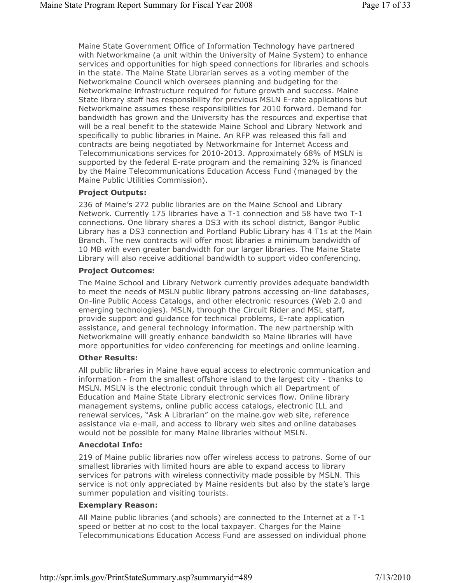Maine State Government Office of Information Technology have partnered with Networkmaine (a unit within the University of Maine System) to enhance services and opportunities for high speed connections for libraries and schools in the state. The Maine State Librarian serves as a voting member of the Networkmaine Council which oversees planning and budgeting for the Networkmaine infrastructure required for future growth and success. Maine State library staff has responsibility for previous MSLN E-rate applications but Networkmaine assumes these responsibilities for 2010 forward. Demand for bandwidth has grown and the University has the resources and expertise that will be a real benefit to the statewide Maine School and Library Network and specifically to public libraries in Maine. An RFP was released this fall and contracts are being negotiated by Networkmaine for Internet Access and Telecommunications services for 2010-2013. Approximately 68% of MSLN is supported by the federal E-rate program and the remaining 32% is financed by the Maine Telecommunications Education Access Fund (managed by the Maine Public Utilities Commission).

### Project Outputs:

236 of Maine's 272 public libraries are on the Maine School and Library Network. Currently 175 libraries have a T-1 connection and 58 have two T-1 connections. One library shares a DS3 with its school district, Bangor Public Library has a DS3 connection and Portland Public Library has 4 T1s at the Main Branch. The new contracts will offer most libraries a minimum bandwidth of 10 MB with even greater bandwidth for our larger libraries. The Maine State Library will also receive additional bandwidth to support video conferencing.

### Project Outcomes:

The Maine School and Library Network currently provides adequate bandwidth to meet the needs of MSLN public library patrons accessing on-line databases, On-line Public Access Catalogs, and other electronic resources (Web 2.0 and emerging technologies). MSLN, through the Circuit Rider and MSL staff, provide support and guidance for technical problems, E-rate application assistance, and general technology information. The new partnership with Networkmaine will greatly enhance bandwidth so Maine libraries will have more opportunities for video conferencing for meetings and online learning.

#### Other Results:

All public libraries in Maine have equal access to electronic communication and information - from the smallest offshore island to the largest city - thanks to MSLN. MSLN is the electronic conduit through which all Department of Education and Maine State Library electronic services flow. Online library management systems, online public access catalogs, electronic ILL and renewal services, "Ask A Librarian" on the maine.gov web site, reference assistance via e-mail, and access to library web sites and online databases would not be possible for many Maine libraries without MSLN.

#### Anecdotal Info:

219 of Maine public libraries now offer wireless access to patrons. Some of our smallest libraries with limited hours are able to expand access to library services for patrons with wireless connectivity made possible by MSLN. This service is not only appreciated by Maine residents but also by the state's large summer population and visiting tourists.

#### Exemplary Reason:

All Maine public libraries (and schools) are connected to the Internet at a T-1 speed or better at no cost to the local taxpayer. Charges for the Maine Telecommunications Education Access Fund are assessed on individual phone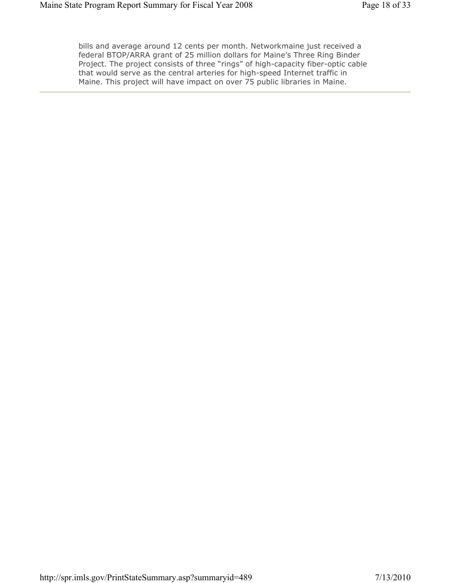bills and average around 12 cents per month. Networkmaine just received a federal BTOP/ARRA grant of 25 million dollars for Maine's Three Ring Binder Project. The project consists of three "rings" of high-capacity fiber-optic cable that would serve as the central arteries for high-speed Internet traffic in Maine. This project will have impact on over 75 public libraries in Maine.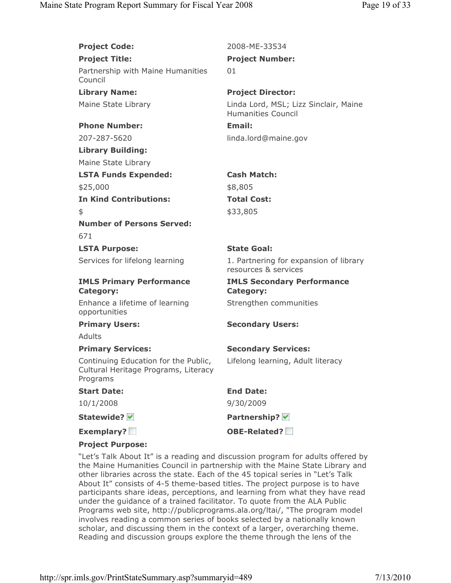| <b>Project Code:</b>                                                                     | 2008-ME-33534                                                      |
|------------------------------------------------------------------------------------------|--------------------------------------------------------------------|
| <b>Project Title:</b>                                                                    | <b>Project Number:</b>                                             |
| Partnership with Maine Humanities<br>Council                                             | 01                                                                 |
| <b>Library Name:</b>                                                                     | <b>Project Director:</b>                                           |
| Maine State Library                                                                      | Linda Lord, MSL; Lizz Sinclair, Maine<br><b>Humanities Council</b> |
| <b>Phone Number:</b>                                                                     | <b>Email:</b>                                                      |
| 207-287-5620                                                                             | linda.lord@maine.gov                                               |
| <b>Library Building:</b>                                                                 |                                                                    |
| Maine State Library                                                                      |                                                                    |
| <b>LSTA Funds Expended:</b>                                                              | <b>Cash Match:</b>                                                 |
| \$25,000                                                                                 | \$8,805                                                            |
| <b>In Kind Contributions:</b>                                                            | <b>Total Cost:</b>                                                 |
| \$                                                                                       | \$33,805                                                           |
| <b>Number of Persons Served:</b>                                                         |                                                                    |
| 671                                                                                      |                                                                    |
| <b>LSTA Purpose:</b>                                                                     | <b>State Goal:</b>                                                 |
| Services for lifelong learning                                                           | 1. Partnering for expansion of library<br>resources & services     |
| <b>IMLS Primary Performance</b><br><b>Category:</b>                                      | <b>IMLS Secondary Performance</b><br><b>Category:</b>              |
| Enhance a lifetime of learning<br>opportunities                                          | Strengthen communities                                             |
| <b>Primary Users:</b>                                                                    | <b>Secondary Users:</b>                                            |
| Adults                                                                                   |                                                                    |
| <b>Primary Services:</b>                                                                 | <b>Secondary Services:</b>                                         |
|                                                                                          |                                                                    |
| Continuing Education for the Public,<br>Cultural Heritage Programs, Literacy<br>Programs | Lifelong learning, Adult literacy                                  |
| <b>Start Date:</b>                                                                       | <b>End Date:</b>                                                   |
| 10/1/2008                                                                                | 9/30/2009                                                          |
| Statewide?                                                                               | Partnership? V                                                     |
| Exemplary?                                                                               | <b>OBE-Related?</b>                                                |

## Project Purpose:

"Let's Talk About It" is a reading and discussion program for adults offered by the Maine Humanities Council in partnership with the Maine State Library and other libraries across the state. Each of the 45 topical series in "Let's Talk About It" consists of 4-5 theme-based titles. The project purpose is to have participants share ideas, perceptions, and learning from what they have read under the guidance of a trained facilitator. To quote from the ALA Public Programs web site, http://publicprograms.ala.org/ltai/, "The program model involves reading a common series of books selected by a nationally known scholar, and discussing them in the context of a larger, overarching theme. Reading and discussion groups explore the theme through the lens of the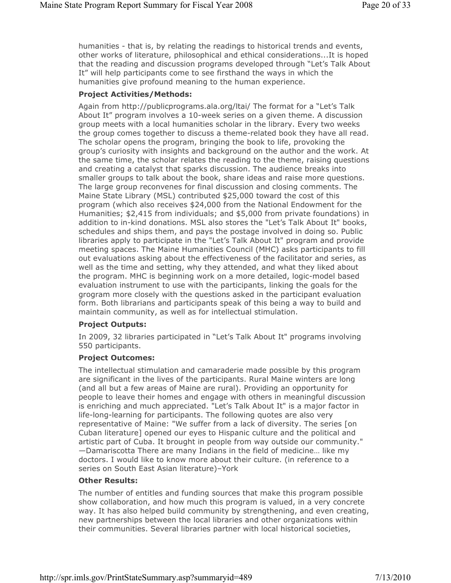humanities - that is, by relating the readings to historical trends and events, other works of literature, philosophical and ethical considerations...It is hoped that the reading and discussion programs developed through "Let's Talk About It" will help participants come to see firsthand the ways in which the humanities give profound meaning to the human experience.

#### Project Activities/Methods:

Again from http://publicprograms.ala.org/ltai/ The format for a "Let's Talk About It" program involves a 10-week series on a given theme. A discussion group meets with a local humanities scholar in the library. Every two weeks the group comes together to discuss a theme-related book they have all read. The scholar opens the program, bringing the book to life, provoking the group's curiosity with insights and background on the author and the work. At the same time, the scholar relates the reading to the theme, raising questions and creating a catalyst that sparks discussion. The audience breaks into smaller groups to talk about the book, share ideas and raise more questions. The large group reconvenes for final discussion and closing comments. The Maine State Library (MSL) contributed \$25,000 toward the cost of this program (which also receives \$24,000 from the National Endowment for the Humanities; \$2,415 from individuals; and \$5,000 from private foundations) in addition to in-kind donations. MSL also stores the "Let's Talk About It" books, schedules and ships them, and pays the postage involved in doing so. Public libraries apply to participate in the "Let's Talk About It" program and provide meeting spaces. The Maine Humanities Council (MHC) asks participants to fill out evaluations asking about the effectiveness of the facilitator and series, as well as the time and setting, why they attended, and what they liked about the program. MHC is beginning work on a more detailed, logic-model based evaluation instrument to use with the participants, linking the goals for the grogram more closely with the questions asked in the participant evaluation form. Both librarians and participants speak of this being a way to build and maintain community, as well as for intellectual stimulation.

#### Project Outputs:

In 2009, 32 libraries participated in "Let's Talk About It" programs involving 550 participants.

#### Project Outcomes:

The intellectual stimulation and camaraderie made possible by this program are significant in the lives of the participants. Rural Maine winters are long (and all but a few areas of Maine are rural). Providing an opportunity for people to leave their homes and engage with others in meaningful discussion is enriching and much appreciated. "Let's Talk About It" is a major factor in life-long-learning for participants. The following quotes are also very representative of Maine: "We suffer from a lack of diversity. The series [on Cuban literature] opened our eyes to Hispanic culture and the political and artistic part of Cuba. It brought in people from way outside our community." —Damariscotta There are many Indians in the field of medicine… like my doctors. I would like to know more about their culture. (in reference to a series on South East Asian literature)–York

### Other Results:

The number of entitles and funding sources that make this program possible show collaboration, and how much this program is valued, in a very concrete way. It has also helped build community by strengthening, and even creating, new partnerships between the local libraries and other organizations within their communities. Several libraries partner with local historical societies,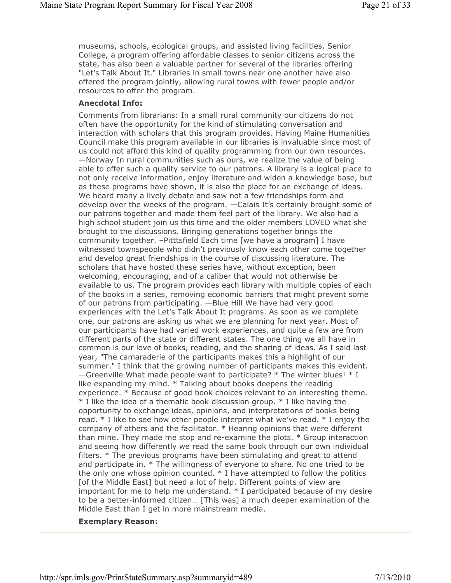museums, schools, ecological groups, and assisted living facilities. Senior College, a program offering affordable classes to senior citizens across the state, has also been a valuable partner for several of the libraries offering "Let's Talk About It." Libraries in small towns near one another have also offered the program jointly, allowing rural towns with fewer people and/or resources to offer the program.

### Anecdotal Info:

Comments from librarians: In a small rural community our citizens do not often have the opportunity for the kind of stimulating conversation and interaction with scholars that this program provides. Having Maine Humanities Council make this program available in our libraries is invaluable since most of us could not afford this kind of quality programming from our own resources. —Norway In rural communities such as ours, we realize the value of being able to offer such a quality service to our patrons. A library is a logical place to not only receive information, enjoy literature and widen a knowledge base, but as these programs have shown, it is also the place for an exchange of ideas. We heard many a lively debate and saw not a few friendships form and develop over the weeks of the program. —Calais It's certainly brought some of our patrons together and made them feel part of the library. We also had a high school student join us this time and the older members LOVED what she brought to the discussions. Bringing generations together brings the community together. –Pitttsfield Each time [we have a program] I have witnessed townspeople who didn't previously know each other come together and develop great friendships in the course of discussing literature. The scholars that have hosted these series have, without exception, been welcoming, encouraging, and of a caliber that would not otherwise be available to us. The program provides each library with multiple copies of each of the books in a series, removing economic barriers that might prevent some of our patrons from participating. —Blue Hill We have had very good experiences with the Let's Talk About It programs. As soon as we complete one, our patrons are asking us what we are planning for next year. Most of our participants have had varied work experiences, and quite a few are from different parts of the state or different states. The one thing we all have in common is our love of books, reading, and the sharing of ideas. As I said last year, "The camaraderie of the participants makes this a highlight of our summer." I think that the growing number of participants makes this evident.  $-$ Greenville What made people want to participate?  $*$  The winter blues!  $*$  I like expanding my mind. \* Talking about books deepens the reading experience. \* Because of good book choices relevant to an interesting theme. \* I like the idea of a thematic book discussion group. \* I like having the opportunity to exchange ideas, opinions, and interpretations of books being read. \* I like to see how other people interpret what we've read. \* I enjoy the company of others and the facilitator. \* Hearing opinions that were different than mine. They made me stop and re-examine the plots. \* Group interaction and seeing how differently we read the same book through our own individual filters. \* The previous programs have been stimulating and great to attend and participate in. \* The willingness of everyone to share. No one tried to be the only one whose opinion counted. \* I have attempted to follow the politics [of the Middle East] but need a lot of help. Different points of view are important for me to help me understand. \* I participated because of my desire to be a better-informed citizen… [This was] a much deeper examination of the Middle East than I get in more mainstream media.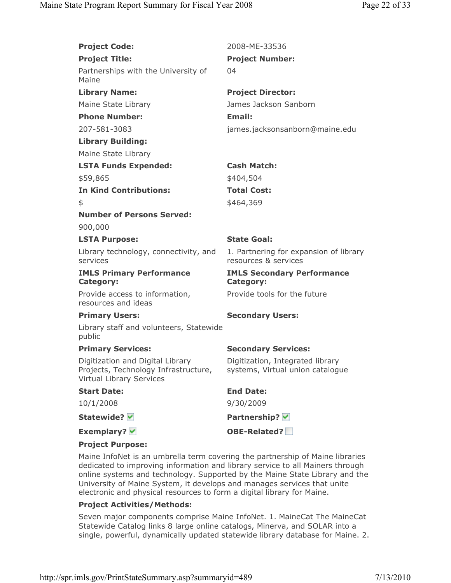| <b>Project Code:</b>                                                                                        | 2008-ME-33536                                                        |
|-------------------------------------------------------------------------------------------------------------|----------------------------------------------------------------------|
| <b>Project Title:</b>                                                                                       | <b>Project Number:</b>                                               |
| Partnerships with the University of<br>Maine                                                                | 04                                                                   |
| <b>Library Name:</b>                                                                                        | <b>Project Director:</b>                                             |
| Maine State Library                                                                                         | James Jackson Sanborn                                                |
| <b>Phone Number:</b>                                                                                        | <b>Email:</b>                                                        |
| 207-581-3083                                                                                                | james.jacksonsanborn@maine.edu                                       |
| <b>Library Building:</b>                                                                                    |                                                                      |
| Maine State Library                                                                                         |                                                                      |
| <b>LSTA Funds Expended:</b>                                                                                 | <b>Cash Match:</b>                                                   |
| \$59,865                                                                                                    | \$404,504                                                            |
| <b>In Kind Contributions:</b>                                                                               | <b>Total Cost:</b>                                                   |
| \$                                                                                                          | \$464,369                                                            |
| <b>Number of Persons Served:</b>                                                                            |                                                                      |
| 900,000                                                                                                     |                                                                      |
| <b>LSTA Purpose:</b>                                                                                        | <b>State Goal:</b>                                                   |
| Library technology, connectivity, and<br>services                                                           | 1. Partnering for expansion of library<br>resources & services       |
| <b>IMLS Primary Performance</b><br><b>Category:</b>                                                         | <b>IMLS Secondary Performance</b><br><b>Category:</b>                |
| Provide access to information,<br>resources and ideas                                                       | Provide tools for the future                                         |
| <b>Primary Users:</b>                                                                                       | <b>Secondary Users:</b>                                              |
| Library staff and volunteers, Statewide<br>public                                                           |                                                                      |
| <b>Primary Services:</b>                                                                                    | <b>Secondary Services:</b>                                           |
| Digitization and Digital Library<br>Projects, Technology Infrastructure,<br><b>Virtual Library Services</b> | Digitization, Integrated library<br>systems, Virtual union catalogue |
| <b>Start Date:</b>                                                                                          | <b>End Date:</b>                                                     |
| 10/1/2008                                                                                                   | 9/30/2009                                                            |
| Statewide? <del>V</del>                                                                                     | Partnership? V                                                       |
| <b>Exemplary?</b> <del>✓</del>                                                                              | OBE-Related?                                                         |
| <b>Project Purpose:</b>                                                                                     |                                                                      |

Maine InfoNet is an umbrella term covering the partnership of Maine libraries dedicated to improving information and library service to all Mainers through online systems and technology. Supported by the Maine State Library and the University of Maine System, it develops and manages services that unite electronic and physical resources to form a digital library for Maine.

#### Project Activities/Methods:

Seven major components comprise Maine InfoNet. 1. MaineCat The MaineCat Statewide Catalog links 8 large online catalogs, Minerva, and SOLAR into a single, powerful, dynamically updated statewide library database for Maine. 2.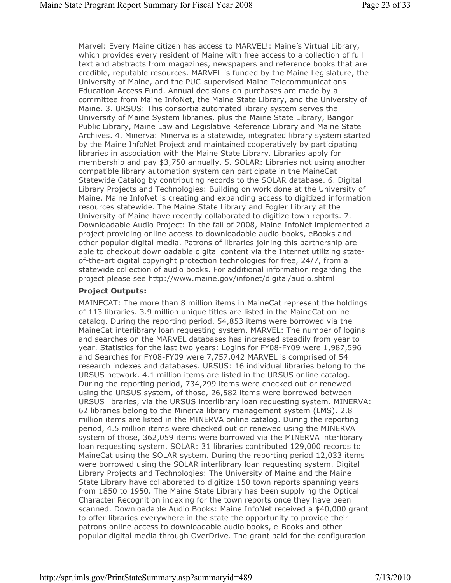Marvel: Every Maine citizen has access to MARVEL!: Maine's Virtual Library, which provides every resident of Maine with free access to a collection of full text and abstracts from magazines, newspapers and reference books that are credible, reputable resources. MARVEL is funded by the Maine Legislature, the University of Maine, and the PUC-supervised Maine Telecommunications Education Access Fund. Annual decisions on purchases are made by a committee from Maine InfoNet, the Maine State Library, and the University of Maine. 3. URSUS: This consortia automated library system serves the University of Maine System libraries, plus the Maine State Library, Bangor Public Library, Maine Law and Legislative Reference Library and Maine State Archives. 4. Minerva: Minerva is a statewide, integrated library system started by the Maine InfoNet Project and maintained cooperatively by participating libraries in association with the Maine State Library. Libraries apply for membership and pay \$3,750 annually. 5. SOLAR: Libraries not using another compatible library automation system can participate in the MaineCat Statewide Catalog by contributing records to the SOLAR database. 6. Digital Library Projects and Technologies: Building on work done at the University of Maine, Maine InfoNet is creating and expanding access to digitized information resources statewide. The Maine State Library and Fogler Library at the University of Maine have recently collaborated to digitize town reports. 7. Downloadable Audio Project: In the fall of 2008, Maine InfoNet implemented a project providing online access to downloadable audio books, eBooks and other popular digital media. Patrons of libraries joining this partnership are able to checkout downloadable digital content via the Internet utilizing stateof-the-art digital copyright protection technologies for free, 24/7, from a statewide collection of audio books. For additional information regarding the project please see http://www.maine.gov/infonet/digital/audio.shtml

#### Project Outputs:

MAINECAT: The more than 8 million items in MaineCat represent the holdings of 113 libraries. 3.9 million unique titles are listed in the MaineCat online catalog. During the reporting period, 54,853 items were borrowed via the MaineCat interlibrary loan requesting system. MARVEL: The number of logins and searches on the MARVEL databases has increased steadily from year to year. Statistics for the last two years: Logins for FY08-FY09 were 1,987,596 and Searches for FY08-FY09 were 7,757,042 MARVEL is comprised of 54 research indexes and databases. URSUS: 16 individual libraries belong to the URSUS network. 4.1 million items are listed in the URSUS online catalog. During the reporting period, 734,299 items were checked out or renewed using the URSUS system, of those, 26,582 items were borrowed between URSUS libraries, via the URSUS interlibrary loan requesting system. MINERVA: 62 libraries belong to the Minerva library management system (LMS). 2.8 million items are listed in the MINERVA online catalog. During the reporting period, 4.5 million items were checked out or renewed using the MINERVA system of those, 362,059 items were borrowed via the MINERVA interlibrary loan requesting system. SOLAR: 31 libraries contributed 129,000 records to MaineCat using the SOLAR system. During the reporting period 12,033 items were borrowed using the SOLAR interlibrary loan requesting system. Digital Library Projects and Technologies: The University of Maine and the Maine State Library have collaborated to digitize 150 town reports spanning years from 1850 to 1950. The Maine State Library has been supplying the Optical Character Recognition indexing for the town reports once they have been scanned. Downloadable Audio Books: Maine InfoNet received a \$40,000 grant to offer libraries everywhere in the state the opportunity to provide their patrons online access to downloadable audio books, e-Books and other popular digital media through OverDrive. The grant paid for the configuration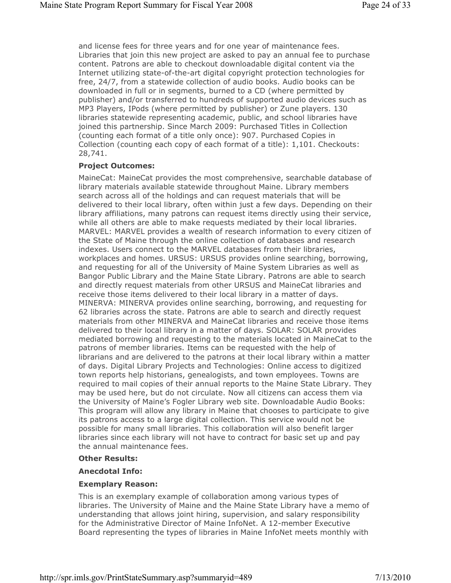and license fees for three years and for one year of maintenance fees. Libraries that join this new project are asked to pay an annual fee to purchase content. Patrons are able to checkout downloadable digital content via the Internet utilizing state-of-the-art digital copyright protection technologies for free, 24/7, from a statewide collection of audio books. Audio books can be downloaded in full or in segments, burned to a CD (where permitted by publisher) and/or transferred to hundreds of supported audio devices such as MP3 Players, IPods (where permitted by publisher) or Zune players. 130 libraries statewide representing academic, public, and school libraries have joined this partnership. Since March 2009: Purchased Titles in Collection (counting each format of a title only once): 907. Purchased Copies in Collection (counting each copy of each format of a title): 1,101. Checkouts: 28,741.

### Project Outcomes:

MaineCat: MaineCat provides the most comprehensive, searchable database of library materials available statewide throughout Maine. Library members search across all of the holdings and can request materials that will be delivered to their local library, often within just a few days. Depending on their library affiliations, many patrons can request items directly using their service, while all others are able to make requests mediated by their local libraries. MARVEL: MARVEL provides a wealth of research information to every citizen of the State of Maine through the online collection of databases and research indexes. Users connect to the MARVEL databases from their libraries, workplaces and homes. URSUS: URSUS provides online searching, borrowing, and requesting for all of the University of Maine System Libraries as well as Bangor Public Library and the Maine State Library. Patrons are able to search and directly request materials from other URSUS and MaineCat libraries and receive those items delivered to their local library in a matter of days. MINERVA: MINERVA provides online searching, borrowing, and requesting for 62 libraries across the state. Patrons are able to search and directly request materials from other MINERVA and MaineCat libraries and receive those items delivered to their local library in a matter of days. SOLAR: SOLAR provides mediated borrowing and requesting to the materials located in MaineCat to the patrons of member libraries. Items can be requested with the help of librarians and are delivered to the patrons at their local library within a matter of days. Digital Library Projects and Technologies: Online access to digitized town reports help historians, genealogists, and town employees. Towns are required to mail copies of their annual reports to the Maine State Library. They may be used here, but do not circulate. Now all citizens can access them via the University of Maine's Fogler Library web site. Downloadable Audio Books: This program will allow any library in Maine that chooses to participate to give its patrons access to a large digital collection. This service would not be possible for many small libraries. This collaboration will also benefit larger libraries since each library will not have to contract for basic set up and pay the annual maintenance fees.

### Other Results:

### Anecdotal Info:

### Exemplary Reason:

This is an exemplary example of collaboration among various types of libraries. The University of Maine and the Maine State Library have a memo of understanding that allows joint hiring, supervision, and salary responsibility for the Administrative Director of Maine InfoNet. A 12-member Executive Board representing the types of libraries in Maine InfoNet meets monthly with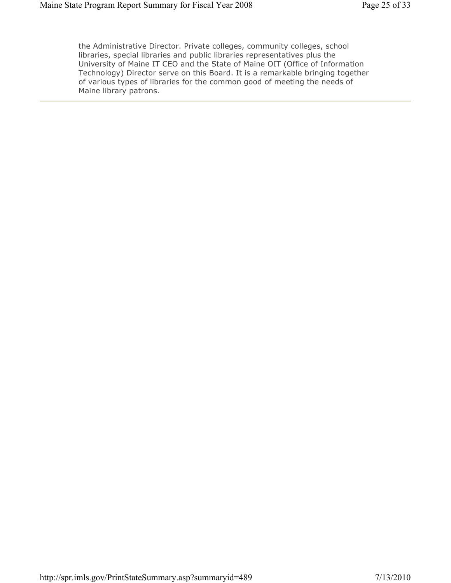the Administrative Director. Private colleges, community colleges, school libraries, special libraries and public libraries representatives plus the University of Maine IT CEO and the State of Maine OIT (Office of Information Technology) Director serve on this Board. It is a remarkable bringing together of various types of libraries for the common good of meeting the needs of Maine library patrons.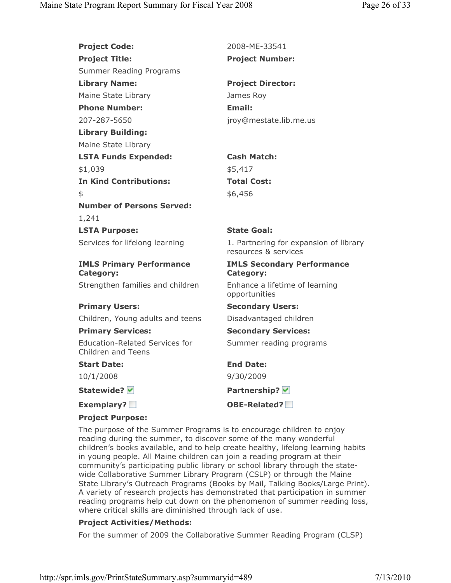**Project Code:** 2008-ME-33541 Project Title: Project Number: Summer Reading Programs Library Name: Project Director: Maine State Library **James Roy** Phone Number: Email: 207-287-5650 jroy@mestate.lib.me.us Library Building: Maine State Library LSTA Funds Expended: Cash Match: \$1,039 \$5,417 In Kind Contributions: Total Cost:  $$6,456$ Number of Persons Served: 1,241 LSTA Purpose: State Goal: Services for lifelong learning 1. Partnering for expansion of library resources & services IMLS Primary Performance Category: IMLS Secondary Performance Category: Strengthen families and children Enhance a lifetime of learning opportunities Primary Users: Secondary Users: Children, Young adults and teens Disadvantaged children Primary Services: Secondary Services: Education-Related Services for Children and Teens Summer reading programs Start Date: End Date: 10/1/2008 9/30/2009 Statewide? V Contract Contract Partnership? V Exemplary? OBE-Related? Project Purpose:

The purpose of the Summer Programs is to encourage children to enjoy reading during the summer, to discover some of the many wonderful children's books available, and to help create healthy, lifelong learning habits in young people. All Maine children can join a reading program at their community's participating public library or school library through the statewide Collaborative Summer Library Program (CSLP) or through the Maine State Library's Outreach Programs (Books by Mail, Talking Books/Large Print). A variety of research projects has demonstrated that participation in summer reading programs help cut down on the phenomenon of summer reading loss, where critical skills are diminished through lack of use.

### Project Activities/Methods:

For the summer of 2009 the Collaborative Summer Reading Program (CLSP)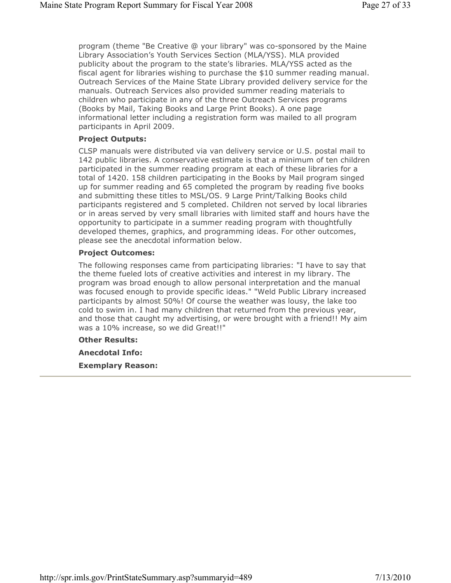program (theme "Be Creative @ your library" was co-sponsored by the Maine Library Association's Youth Services Section (MLA/YSS). MLA provided publicity about the program to the state's libraries. MLA/YSS acted as the fiscal agent for libraries wishing to purchase the \$10 summer reading manual. Outreach Services of the Maine State Library provided delivery service for the manuals. Outreach Services also provided summer reading materials to children who participate in any of the three Outreach Services programs (Books by Mail, Taking Books and Large Print Books). A one page informational letter including a registration form was mailed to all program participants in April 2009.

#### Project Outputs:

CLSP manuals were distributed via van delivery service or U.S. postal mail to 142 public libraries. A conservative estimate is that a minimum of ten children participated in the summer reading program at each of these libraries for a total of 1420. 158 children participating in the Books by Mail program singed up for summer reading and 65 completed the program by reading five books and submitting these titles to MSL/OS. 9 Large Print/Talking Books child participants registered and 5 completed. Children not served by local libraries or in areas served by very small libraries with limited staff and hours have the opportunity to participate in a summer reading program with thoughtfully developed themes, graphics, and programming ideas. For other outcomes, please see the anecdotal information below.

#### Project Outcomes:

The following responses came from participating libraries: "I have to say that the theme fueled lots of creative activities and interest in my library. The program was broad enough to allow personal interpretation and the manual was focused enough to provide specific ideas." "Weld Public Library increased participants by almost 50%! Of course the weather was lousy, the lake too cold to swim in. I had many children that returned from the previous year, and those that caught my advertising, or were brought with a friend!! My aim was a 10% increase, so we did Great!!"

### Other Results:

Anecdotal Info: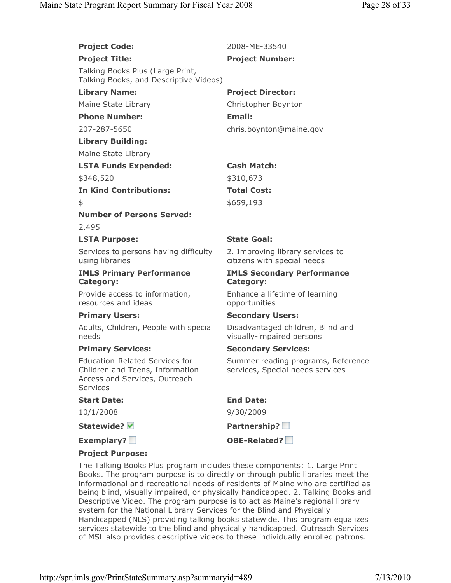## **Project Code:** 2008-ME-33540

#### Project Title: Project Number:

Talking Books Plus (Large Print, Talking Books, and Descriptive Videos)

## Phone Number: Email:

## Library Building:

Maine State Library

# LSTA Funds Expended: Cash Match:

## In Kind Contributions: Total Cost:

# Number of Persons Served:

2,495

## LSTA Purpose: State Goal:

Services to persons having difficulty using libraries

### IMLS Primary Performance Category:

Provide access to information, resources and ideas

Adults, Children, People with special needs

Education-Related Services for Children and Teens, Information Access and Services, Outreach Services

#### Start Date: End Date:

### Statewide? V Partnership?

# Library Name: Project Director:

Maine State Library **Christopher Boynton** 207-287-5650 chris.boynton@maine.gov

\$348,520 \$310,673

# $$659,193$

2. Improving library services to citizens with special needs

### IMLS Secondary Performance Category:

Enhance a lifetime of learning opportunities

### Primary Users: Secondary Users:

Disadvantaged children, Blind and visually-impaired persons

### Primary Services: Secondary Services:

Summer reading programs, Reference services, Special needs services

10/1/2008 9/30/2009

Exemplary? Notify the Second Complete Complete Complete Complete Complete Complete Complete Complete Complete Complete Complete Complete Complete Complete Complete Complete Complete Complete Complete Complete Complete Comp

## Project Purpose:

The Talking Books Plus program includes these components: 1. Large Print Books. The program purpose is to directly or through public libraries meet the informational and recreational needs of residents of Maine who are certified as being blind, visually impaired, or physically handicapped. 2. Talking Books and Descriptive Video. The program purpose is to act as Maine's regional library system for the National Library Services for the Blind and Physically Handicapped (NLS) providing talking books statewide. This program equalizes services statewide to the blind and physically handicapped. Outreach Services of MSL also provides descriptive videos to these individually enrolled patrons.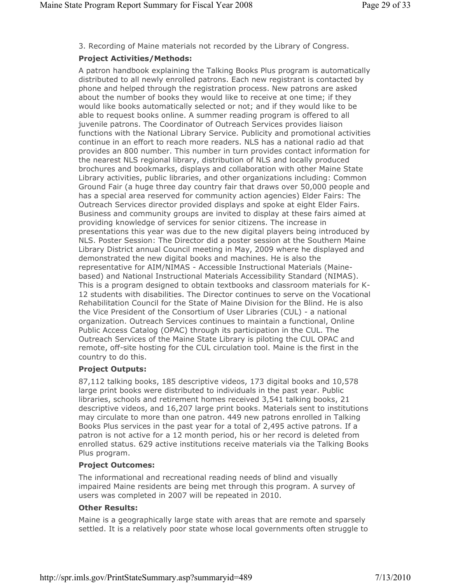3. Recording of Maine materials not recorded by the Library of Congress.

### Project Activities/Methods:

A patron handbook explaining the Talking Books Plus program is automatically distributed to all newly enrolled patrons. Each new registrant is contacted by phone and helped through the registration process. New patrons are asked about the number of books they would like to receive at one time; if they would like books automatically selected or not; and if they would like to be able to request books online. A summer reading program is offered to all juvenile patrons. The Coordinator of Outreach Services provides liaison functions with the National Library Service. Publicity and promotional activities continue in an effort to reach more readers. NLS has a national radio ad that provides an 800 number. This number in turn provides contact information for the nearest NLS regional library, distribution of NLS and locally produced brochures and bookmarks, displays and collaboration with other Maine State Library activities, public libraries, and other organizations including: Common Ground Fair (a huge three day country fair that draws over 50,000 people and has a special area reserved for community action agencies) Elder Fairs: The Outreach Services director provided displays and spoke at eight Elder Fairs. Business and community groups are invited to display at these fairs aimed at providing knowledge of services for senior citizens. The increase in presentations this year was due to the new digital players being introduced by NLS. Poster Session: The Director did a poster session at the Southern Maine Library District annual Council meeting in May, 2009 where he displayed and demonstrated the new digital books and machines. He is also the representative for AIM/NIMAS - Accessible Instructional Materials (Mainebased) and National Instructional Materials Accessibility Standard (NIMAS). This is a program designed to obtain textbooks and classroom materials for K-12 students with disabilities. The Director continues to serve on the Vocational Rehabilitation Council for the State of Maine Division for the Blind. He is also the Vice President of the Consortium of User Libraries (CUL) - a national organization. Outreach Services continues to maintain a functional, Online Public Access Catalog (OPAC) through its participation in the CUL. The Outreach Services of the Maine State Library is piloting the CUL OPAC and remote, off-site hosting for the CUL circulation tool. Maine is the first in the country to do this.

### Project Outputs:

87,112 talking books, 185 descriptive videos, 173 digital books and 10,578 large print books were distributed to individuals in the past year. Public libraries, schools and retirement homes received 3,541 talking books, 21 descriptive videos, and 16,207 large print books. Materials sent to institutions may circulate to more than one patron. 449 new patrons enrolled in Talking Books Plus services in the past year for a total of 2,495 active patrons. If a patron is not active for a 12 month period, his or her record is deleted from enrolled status. 629 active institutions receive materials via the Talking Books Plus program.

### Project Outcomes:

The informational and recreational reading needs of blind and visually impaired Maine residents are being met through this program. A survey of users was completed in 2007 will be repeated in 2010.

### Other Results:

Maine is a geographically large state with areas that are remote and sparsely settled. It is a relatively poor state whose local governments often struggle to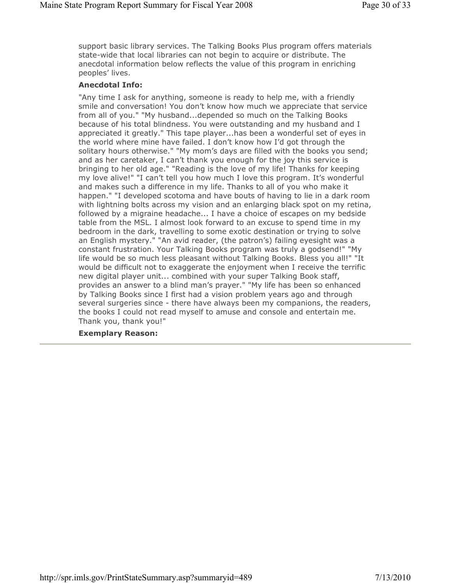support basic library services. The Talking Books Plus program offers materials state-wide that local libraries can not begin to acquire or distribute. The anecdotal information below reflects the value of this program in enriching peoples' lives.

### Anecdotal Info:

"Any time I ask for anything, someone is ready to help me, with a friendly smile and conversation! You don't know how much we appreciate that service from all of you." "My husband...depended so much on the Talking Books because of his total blindness. You were outstanding and my husband and I appreciated it greatly." This tape player...has been a wonderful set of eyes in the world where mine have failed. I don't know how I'd got through the solitary hours otherwise." "My mom's days are filled with the books you send; and as her caretaker, I can't thank you enough for the joy this service is bringing to her old age." "Reading is the love of my life! Thanks for keeping my love alive!" "I can't tell you how much I love this program. It's wonderful and makes such a difference in my life. Thanks to all of you who make it happen." "I developed scotoma and have bouts of having to lie in a dark room with lightning bolts across my vision and an enlarging black spot on my retina, followed by a migraine headache... I have a choice of escapes on my bedside table from the MSL. I almost look forward to an excuse to spend time in my bedroom in the dark, travelling to some exotic destination or trying to solve an English mystery." "An avid reader, (the patron's) failing eyesight was a constant frustration. Your Talking Books program was truly a godsend!" "My life would be so much less pleasant without Talking Books. Bless you all!" "It would be difficult not to exaggerate the enjoyment when I receive the terrific new digital player unit... combined with your super Talking Book staff, provides an answer to a blind man's prayer." "My life has been so enhanced by Talking Books since I first had a vision problem years ago and through several surgeries since - there have always been my companions, the readers, the books I could not read myself to amuse and console and entertain me. Thank you, thank you!"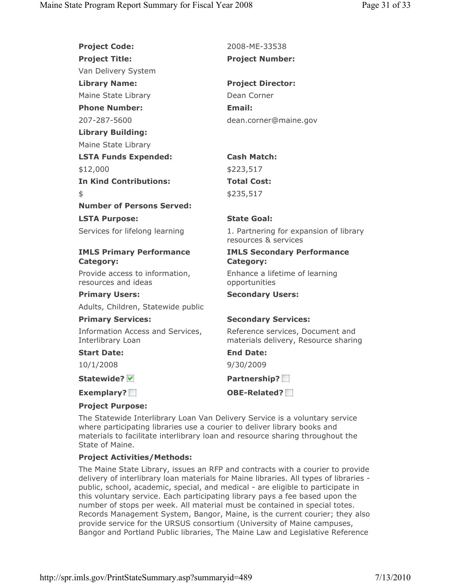| <b>Project Code:</b>                                  | 2008-ME-33538                                                            |
|-------------------------------------------------------|--------------------------------------------------------------------------|
| <b>Project Title:</b>                                 | <b>Project Number:</b>                                                   |
| Van Delivery System                                   |                                                                          |
| <b>Library Name:</b>                                  | <b>Project Director:</b>                                                 |
| Maine State Library                                   | Dean Corner                                                              |
| <b>Phone Number:</b>                                  | Email:                                                                   |
| 207-287-5600                                          | dean.corner@maine.gov                                                    |
| <b>Library Building:</b>                              |                                                                          |
| Maine State Library                                   |                                                                          |
| <b>LSTA Funds Expended:</b>                           | <b>Cash Match:</b>                                                       |
| \$12,000                                              | \$223,517                                                                |
| <b>In Kind Contributions:</b>                         | <b>Total Cost:</b>                                                       |
| \$                                                    | \$235,517                                                                |
| <b>Number of Persons Served:</b>                      |                                                                          |
| <b>LSTA Purpose:</b>                                  | <b>State Goal:</b>                                                       |
| Services for lifelong learning                        | 1. Partnering for expansion of library<br>resources & services           |
| <b>IMLS Primary Performance</b><br><b>Category:</b>   | <b>IMLS Secondary Performance</b><br><b>Category:</b>                    |
| Provide access to information,<br>resources and ideas | Enhance a lifetime of learning<br>opportunities                          |
| <b>Primary Users:</b>                                 | <b>Secondary Users:</b>                                                  |
| Adults, Children, Statewide public                    |                                                                          |
| <b>Primary Services:</b>                              | <b>Secondary Services:</b>                                               |
| Information Access and Services,<br>Interlibrary Loan | Reference services, Document and<br>materials delivery, Resource sharing |
| <b>Start Date:</b>                                    | <b>End Date:</b>                                                         |
| 10/1/2008                                             | 9/30/2009                                                                |
| Statewide? V                                          | Partnership?                                                             |
| Exemplary?                                            | OBE-Related?                                                             |

### Project Purpose:

The Statewide Interlibrary Loan Van Delivery Service is a voluntary service where participating libraries use a courier to deliver library books and materials to facilitate interlibrary loan and resource sharing throughout the State of Maine.

## Project Activities/Methods:

The Maine State Library, issues an RFP and contracts with a courier to provide delivery of interlibrary loan materials for Maine libraries. All types of libraries public, school, academic, special, and medical - are eligible to participate in this voluntary service. Each participating library pays a fee based upon the number of stops per week. All material must be contained in special totes. Records Management System, Bangor, Maine, is the current courier; they also provide service for the URSUS consortium (University of Maine campuses, Bangor and Portland Public libraries, The Maine Law and Legislative Reference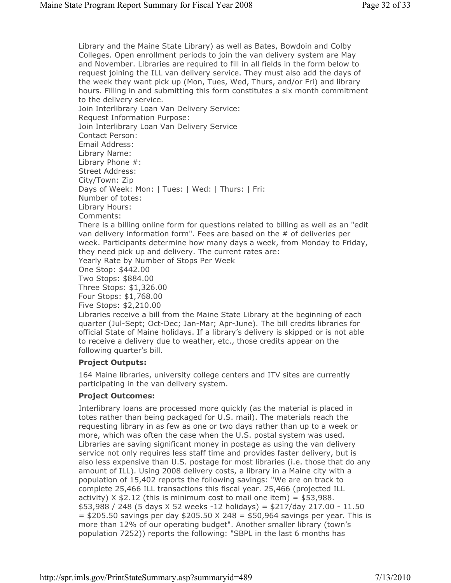Library and the Maine State Library) as well as Bates, Bowdoin and Colby Colleges. Open enrollment periods to join the van delivery system are May and November. Libraries are required to fill in all fields in the form below to request joining the ILL van delivery service. They must also add the days of the week they want pick up (Mon, Tues, Wed, Thurs, and/or Fri) and library hours. Filling in and submitting this form constitutes a six month commitment to the delivery service. Join Interlibrary Loan Van Delivery Service: Request Information Purpose: Join Interlibrary Loan Van Delivery Service Contact Person: Email Address: Library Name: Library Phone #: Street Address: City/Town: Zip Days of Week: Mon: | Tues: | Wed: | Thurs: | Fri: Number of totes: Library Hours: Comments: There is a billing online form for questions related to billing as well as an "edit van delivery information form". Fees are based on the # of deliveries per week. Participants determine how many days a week, from Monday to Friday, they need pick up and delivery. The current rates are: Yearly Rate by Number of Stops Per Week One Stop: \$442.00 Two Stops: \$884.00 Three Stops: \$1,326.00 Four Stops: \$1,768.00 Five Stops: \$2,210.00 Libraries receive a bill from the Maine State Library at the beginning of each quarter (Jul-Sept; Oct-Dec; Jan-Mar; Apr-June). The bill credits libraries for official State of Maine holidays. If a library's delivery is skipped or is not able to receive a delivery due to weather, etc., those credits appear on the

## Project Outputs:

following quarter's bill.

164 Maine libraries, university college centers and ITV sites are currently participating in the van delivery system.

### Project Outcomes:

Interlibrary loans are processed more quickly (as the material is placed in totes rather than being packaged for U.S. mail). The materials reach the requesting library in as few as one or two days rather than up to a week or more, which was often the case when the U.S. postal system was used. Libraries are saving significant money in postage as using the van delivery service not only requires less staff time and provides faster delivery, but is also less expensive than U.S. postage for most libraries (i.e. those that do any amount of ILL). Using 2008 delivery costs, a library in a Maine city with a population of 15,402 reports the following savings: "We are on track to complete 25,466 ILL transactions this fiscal year. 25,466 (projected ILL activity)  $X$  \$2.12 (this is minimum cost to mail one item) = \$53,988. \$53,988 / 248 (5 days X 52 weeks -12 holidays) = \$217/day 217.00 - 11.50  $=$  \$205.50 savings per day \$205.50 X 248 = \$50,964 savings per year. This is more than 12% of our operating budget". Another smaller library (town's population 7252)) reports the following: "SBPL in the last 6 months has